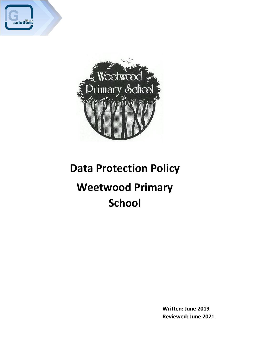



# **Data Protection Policy**

# **Weetwood Primary School**

**Written: June 2019 Reviewed: June 2021**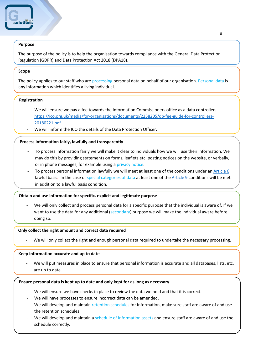# **Purpose**

The purpose of the policy is to help the organisation towards compliance with the General Data Protection Regulation (GDPR) and Data Protection Act 2018 (DPA18).

### **Scope**

The policy applies to our staff who are processing personal data on behalf of our organisation. Personal data is any information which identifies a living individual.

# **Registration**

- We will ensure we pay a fee towards the Information Commissioners office as a data controller. [https://ico.org.uk/media/for-organisations/documents/2258205/dp-fee-guide-for-controllers-](https://ico.org.uk/media/for-organisations/documents/2258205/dp-fee-guide-for-controllers-20180221.pdf)[20180221.pdf](https://ico.org.uk/media/for-organisations/documents/2258205/dp-fee-guide-for-controllers-20180221.pdf)
- We will inform the ICO the details of the Data Protection Officer.

# **Process information fairly, lawfully and transparently**

- To process information fairly we will make it clear to individuals how we will use their information. We may do this by providing statements on forms, leaflets etc. posting notices on the website, or verbally, or in phone messages, for example using a privacy notice.
- To process personal information lawfully we will meet at least one of the conditions under a[n Article 6](#page-3-0) lawful basis. In the case of special categories of data at least one of the [Article 9](#page-3-0) conditions will be met in addition to a lawful basis condition.

#### **Obtain and use information for specific, explicit and legitimate purpose**

We will only collect and process personal data for a specific purpose that the individual is aware of. If we want to use the data for any additional (secondary) purpose we will make the individual aware before doing so.

#### **Only collect the right amount and correct data required**

We will only collect the right and enough personal data required to undertake the necessary processing.

#### **Keep information accurate and up to date**

We will put measures in place to ensure that personal information is accurate and all databases, lists, etc. are up to date.

#### **Ensure personal data is kept up to date and only kept for as long as necessary**

- We will ensure we have checks in place to review the data we hold and that it is correct.
- We will have processes to ensure incorrect data can be amended.
- We will develop and maintain retention schedules for information, make sure staff are aware of and use the retention schedules.
- We will develop and maintain a schedule of information assets and ensure staff are aware of and use the schedule correctly.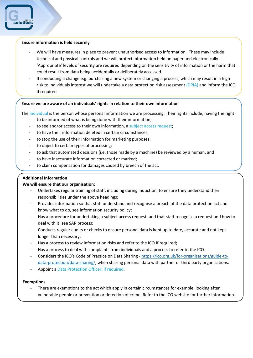### **Ensure information is held securely**

- We will have measures in place to prevent unauthorised access to information. These may include technical and physical controls and we will protect information held on paper and electronically. 'Appropriate' levels of security are required depending on the sensitivity of information or the harm that could result from data being accidentally or deliberately accessed.
- If conducting a change e.g. purchasing a new system or changing a process, which may result in a high risk to individuals interest we will undertake a data protection risk assessment (DPIA) and inform the ICO if required

#### **Ensure we are aware of an individuals' rights in relation to their own information**

The individual is the person whose personal information we are processing. Their rights include, having the right:

- to be informed of what is being done with their information;
- to see and/or access to their own information, a subject access request;
- to have their information deleted in certain circumstances;
- to stop the use of their information for marketing purposes;
- to object to certain types of processing;
- to ask that automated decisions (i.e. those made by a machine) be reviewed by a human, and
- to have inaccurate information corrected or marked;
- to claim compensation for damages caused by breech of the act.

# **Additional Information**

#### **We will ensure that our organisation:**

- Undertakes regular training of staff, including during induction, to ensure they understand their responsibilities under the above headings;
- Provides information so that staff understand and recognise a breach of the data protection act and know what to do, see information security policy;
- Has a procedure for undertaking a subject access request, and that staff recognise a request and how to deal with it: see SAR process;
- Conducts regular audits or checks to ensure personal data is kept up to date, accurate and not kept longer than necessary;
- Has a process to review information risks and refer to the ICO If required;
- Has a process to deal with complaints from individuals and a process to refer to the ICO.
- Considers the ICO's Code of Practice on Data Sharing [https://ico.org.uk/for-organisations/guide-to](https://ico.org.uk/for-organisations/guide-to-data-protection/data-sharing/)[data-protection/data-sharing/,](https://ico.org.uk/for-organisations/guide-to-data-protection/data-sharing/) when sharing personal data with partner or third party organisations.
- Appoint a Data Protection Officer, if required.

#### **Exemptions**

There are exemptions to the act which apply in certain circumstances for example, looking after vulnerable people or prevention or detection of crime. Refer to the ICO website for further information.